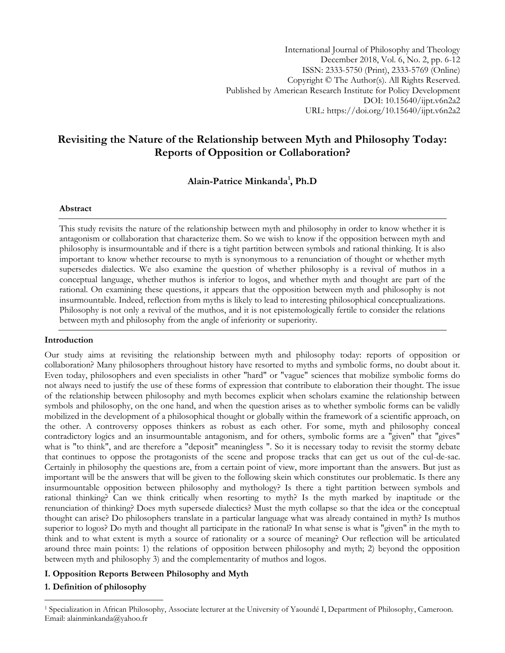International Journal of Philosophy and Theology December 2018, Vol. 6, No. 2, pp. 6-12 ISSN: 2333-5750 (Print), 2333-5769 (Online) Copyright © The Author(s). All Rights Reserved. Published by American Research Institute for Policy Development DOI: 10.15640/ijpt.v6n2a2 URL: https://doi.org/10.15640/ijpt.v6n2a2

# **Revisiting the Nature of the Relationship between Myth and Philosophy Today: Reports of Opposition or Collaboration?**

**Alain-Patrice Minkanda<sup>1</sup> , Ph.D** 

# **Abstract**

This study revisits the nature of the relationship between myth and philosophy in order to know whether it is antagonism or collaboration that characterize them. So we wish to know if the opposition between myth and philosophy is insurmountable and if there is a tight partition between symbols and rational thinking. It is also important to know whether recourse to myth is synonymous to a renunciation of thought or whether myth supersedes dialectics. We also examine the question of whether philosophy is a revival of muthos in a conceptual language, whether muthos is inferior to logos, and whether myth and thought are part of the rational. On examining these questions, it appears that the opposition between myth and philosophy is not insurmountable. Indeed, reflection from myths is likely to lead to interesting philosophical conceptualizations. Philosophy is not only a revival of the muthos, and it is not epistemologically fertile to consider the relations between myth and philosophy from the angle of inferiority or superiority.

# **Introduction**

Our study aims at revisiting the relationship between myth and philosophy today: reports of opposition or collaboration? Many philosophers throughout history have resorted to myths and symbolic forms, no doubt about it. Even today, philosophers and even specialists in other "hard" or "vague" sciences that mobilize symbolic forms do not always need to justify the use of these forms of expression that contribute to elaboration their thought. The issue of the relationship between philosophy and myth becomes explicit when scholars examine the relationship between symbols and philosophy, on the one hand, and when the question arises as to whether symbolic forms can be validly mobilized in the development of a philosophical thought or globally within the framework of a scientific approach, on the other. A controversy opposes thinkers as robust as each other. For some, myth and philosophy conceal contradictory logics and an insurmountable antagonism, and for others, symbolic forms are a "given" that "gives" what is "to think", and are therefore a "deposit" meaningless ". So it is necessary today to revisit the stormy debate that continues to oppose the protagonists of the scene and propose tracks that can get us out of the cul-de-sac. Certainly in philosophy the questions are, from a certain point of view, more important than the answers. But just as important will be the answers that will be given to the following skein which constitutes our problematic. Is there any insurmountable opposition between philosophy and mythology? Is there a tight partition between symbols and rational thinking? Can we think critically when resorting to myth? Is the myth marked by inaptitude or the renunciation of thinking? Does myth supersede dialectics? Must the myth collapse so that the idea or the conceptual thought can arise? Do philosophers translate in a particular language what was already contained in myth? Is muthos superior to logos? Do myth and thought all participate in the rational? In what sense is what is "given" in the myth to think and to what extent is myth a source of rationality or a source of meaning? Our reflection will be articulated around three main points: 1) the relations of opposition between philosophy and myth; 2) beyond the opposition between myth and philosophy 3) and the complementarity of muthos and logos.

# **I. Opposition Reports Between Philosophy and Myth**

# **1. Definition of philosophy**

 $\overline{a}$ 

<sup>1</sup> Specialization in African Philosophy, Associate lecturer at the University of Yaoundé I, Department of Philosophy, Cameroon. Email: alainminkanda@yahoo.fr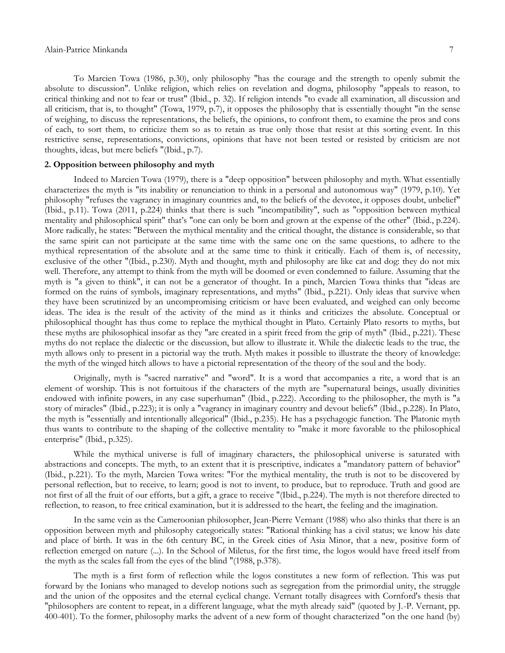To Marcien Towa (1986, p.30), only philosophy "has the courage and the strength to openly submit the absolute to discussion". Unlike religion, which relies on revelation and dogma, philosophy "appeals to reason, to critical thinking and not to fear or trust" (Ibid., p. 32). If religion intends "to evade all examination, all discussion and all criticism, that is, to thought" (Towa, 1979, p.7), it opposes the philosophy that is essentially thought "in the sense of weighing, to discuss the representations, the beliefs, the opinions, to confront them, to examine the pros and cons of each, to sort them, to criticize them so as to retain as true only those that resist at this sorting event. In this restrictive sense, representations, convictions, opinions that have not been tested or resisted by criticism are not thoughts, ideas, but mere beliefs "(Ibid., p.7).

#### **2. Opposition between philosophy and myth**

Indeed to Marcien Towa (1979), there is a "deep opposition" between philosophy and myth. What essentially characterizes the myth is "its inability or renunciation to think in a personal and autonomous way" (1979, p.10). Yet philosophy "refuses the vagrancy in imaginary countries and, to the beliefs of the devotee, it opposes doubt, unbelief" (Ibid., p.11). Towa (2011, p.224) thinks that there is such "incompatibility", such as "opposition between mythical mentality and philosophical spirit" that's "one can only be born and grown at the expense of the other" (Ibid., p.224). More radically, he states: "Between the mythical mentality and the critical thought, the distance is considerable, so that the same spirit can not participate at the same time with the same one on the same questions, to adhere to the mythical representation of the absolute and at the same time to think it critically. Each of them is, of necessity, exclusive of the other "(Ibid., p.230). Myth and thought, myth and philosophy are like cat and dog: they do not mix well. Therefore, any attempt to think from the myth will be doomed or even condemned to failure. Assuming that the myth is "a given to think", it can not be a generator of thought. In a pinch, Marcien Towa thinks that "ideas are formed on the ruins of symbols, imaginary representations, and myths" (Ibid., p.221). Only ideas that survive when they have been scrutinized by an uncompromising criticism or have been evaluated, and weighed can only become ideas. The idea is the result of the activity of the mind as it thinks and criticizes the absolute. Conceptual or philosophical thought has thus come to replace the mythical thought in Plato. Certainly Plato resorts to myths, but these myths are philosophical insofar as they "are created in a spirit freed from the grip of myth" (Ibid., p.221). These myths do not replace the dialectic or the discussion, but allow to illustrate it. While the dialectic leads to the true, the myth allows only to present in a pictorial way the truth. Myth makes it possible to illustrate the theory of knowledge: the myth of the winged hitch allows to have a pictorial representation of the theory of the soul and the body.

Originally, myth is "sacred narrative" and "word". It is a word that accompanies a rite, a word that is an element of worship. This is not fortuitous if the characters of the myth are "supernatural beings, usually divinities endowed with infinite powers, in any case superhuman" (Ibid., p.222). According to the philosopher, the myth is "a story of miracles" (Ibid., p.223); it is only a "vagrancy in imaginary country and devout beliefs" (Ibid., p.228). In Plato, the myth is "essentially and intentionally allegorical" (Ibid., p.235). He has a psychagogic function. The Platonic myth thus wants to contribute to the shaping of the collective mentality to "make it more favorable to the philosophical enterprise" (Ibid., p.325).

While the mythical universe is full of imaginary characters, the philosophical universe is saturated with abstractions and concepts. The myth, to an extent that it is prescriptive, indicates a "mandatory pattern of behavior" (Ibid., p.221). To the myth, Marcien Towa writes: "For the mythical mentality, the truth is not to be discovered by personal reflection, but to receive, to learn; good is not to invent, to produce, but to reproduce. Truth and good are not first of all the fruit of our efforts, but a gift, a grace to receive "(Ibid., p.224). The myth is not therefore directed to reflection, to reason, to free critical examination, but it is addressed to the heart, the feeling and the imagination.

In the same vein as the Cameroonian philosopher, Jean-Pierre Vernant (1988) who also thinks that there is an opposition between myth and philosophy categorically states: "Rational thinking has a civil status; we know his date and place of birth. It was in the 6th century BC, in the Greek cities of Asia Minor, that a new, positive form of reflection emerged on nature (...). In the School of Miletus, for the first time, the logos would have freed itself from the myth as the scales fall from the eyes of the blind "(1988, p.378).

The myth is a first form of reflection while the logos constitutes a new form of reflection. This was put forward by the Ionians who managed to develop notions such as segregation from the primordial unity, the struggle and the union of the opposites and the eternal cyclical change. Vernant totally disagrees with Cornford's thesis that "philosophers are content to repeat, in a different language, what the myth already said" (quoted by J.-P. Vernant, pp. 400-401). To the former, philosophy marks the advent of a new form of thought characterized "on the one hand (by)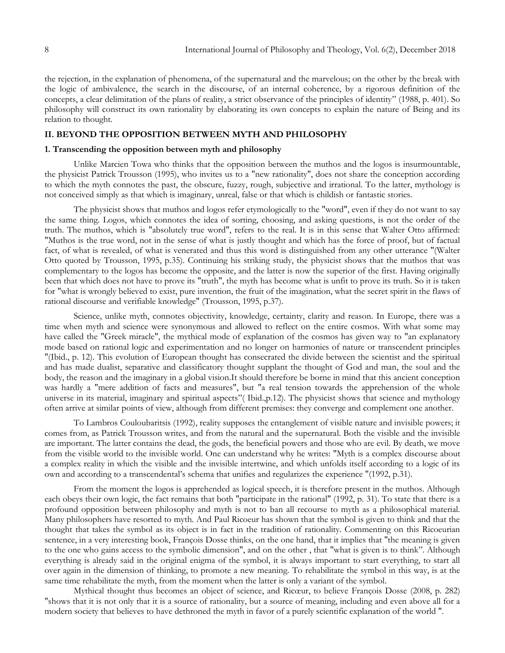the rejection, in the explanation of phenomena, of the supernatural and the marvelous; on the other by the break with the logic of ambivalence, the search in the discourse, of an internal coherence, by a rigorous definition of the concepts, a clear delimitation of the plans of reality, a strict observance of the principles of identity" (1988, p. 401). So philosophy will construct its own rationality by elaborating its own concepts to explain the nature of Being and its relation to thought.

# **II. BEYOND THE OPPOSITION BETWEEN MYTH AND PHILOSOPHY**

#### **1. Transcending the opposition between myth and philosophy**

Unlike Marcien Towa who thinks that the opposition between the muthos and the logos is insurmountable, the physicist Patrick Trousson (1995), who invites us to a "new rationality", does not share the conception according to which the myth connotes the past, the obscure, fuzzy, rough, subjective and irrational. To the latter, mythology is not conceived simply as that which is imaginary, unreal, false or that which is childish or fantastic stories.

The physicist shows that muthos and logos refer etymologically to the "word", even if they do not want to say the same thing. Logos, which connotes the idea of sorting, choosing, and asking questions, is not the order of the truth. The muthos, which is "absolutely true word", refers to the real. It is in this sense that Walter Otto affirmed: "Muthos is the true word, not in the sense of what is justly thought and which has the force of proof, but of factual fact, of what is revealed, of what is venerated and thus this word is distinguished from any other utterance "(Walter Otto quoted by Trousson, 1995, p.35). Continuing his striking study, the physicist shows that the muthos that was complementary to the logos has become the opposite, and the latter is now the superior of the first. Having originally been that which does not have to prove its "truth", the myth has become what is unfit to prove its truth. So it is taken for "what is wrongly believed to exist, pure invention, the fruit of the imagination, what the secret spirit in the flaws of rational discourse and verifiable knowledge" (Trousson, 1995, p.37).

Science, unlike myth, connotes objectivity, knowledge, certainty, clarity and reason. In Europe, there was a time when myth and science were synonymous and allowed to reflect on the entire cosmos. With what some may have called the "Greek miracle", the mythical mode of explanation of the cosmos has given way to "an explanatory mode based on rational logic and experimentation and no longer on harmonies of nature or transcendent principles "(Ibid., p. 12). This evolution of European thought has consecrated the divide between the scientist and the spiritual and has made dualist, separative and classificatory thought supplant the thought of God and man, the soul and the body, the reason and the imaginary in a global vision.It should therefore be borne in mind that this ancient conception was hardly a "mere addition of facts and measures", but "a real tension towards the apprehension of the whole universe in its material, imaginary and spiritual aspects"( Ibid.,p.12). The physicist shows that science and mythology often arrive at similar points of view, although from different premises: they converge and complement one another.

To Lambros Couloubaritsis (1992), reality supposes the entanglement of visible nature and invisible powers; it comes from, as Patrick Trousson writes, and from the natural and the supernatural. Both the visible and the invisible are important. The latter contains the dead, the gods, the beneficial powers and those who are evil. By death, we move from the visible world to the invisible world. One can understand why he writes: "Myth is a complex discourse about a complex reality in which the visible and the invisible intertwine, and which unfolds itself according to a logic of its own and according to a transcendental's schema that unifies and regularizes the experience "(1992, p.31).

From the moment the logos is apprehended as logical speech, it is therefore present in the muthos. Although each obeys their own logic, the fact remains that both "participate in the rational" (1992, p. 31). To state that there is a profound opposition between philosophy and myth is not to ban all recourse to myth as a philosophical material. Many philosophers have resorted to myth. And Paul Ricoeur has shown that the symbol is given to think and that the thought that takes the symbol as its object is in fact in the tradition of rationality. Commenting on this Ricoeurian sentence, in a very interesting book, François Dosse thinks, on the one hand, that it implies that "the meaning is given to the one who gains access to the symbolic dimension", and on the other , that "what is given is to think". Although everything is already said in the original enigma of the symbol, it is always important to start everything, to start all over again in the dimension of thinking, to promote a new meaning. To rehabilitate the symbol in this way, is at the same time rehabilitate the myth, from the moment when the latter is only a variant of the symbol.

Mythical thought thus becomes an object of science, and Ricœur, to believe François Dosse (2008, p. 282) "shows that it is not only that it is a source of rationality, but a source of meaning, including and even above all for a modern society that believes to have dethroned the myth in favor of a purely scientific explanation of the world ".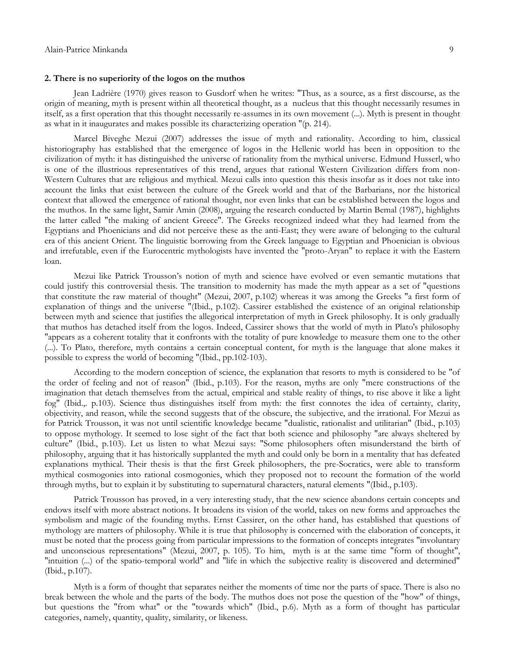#### **2. There is no superiority of the logos on the muthos**

Jean Ladrière (1970) gives reason to Gusdorf when he writes: "Thus, as a source, as a first discourse, as the origin of meaning, myth is present within all theoretical thought, as a nucleus that this thought necessarily resumes in itself, as a first operation that this thought necessarily re-assumes in its own movement (...). Myth is present in thought as what in it inaugurates and makes possible its characterizing operation "(p. 214).

Marcel Biveghe Mezui (2007) addresses the issue of myth and rationality. According to him, classical historiography has established that the emergence of logos in the Hellenic world has been in opposition to the civilization of myth: it has distinguished the universe of rationality from the mythical universe. Edmund Husserl, who is one of the illustrious representatives of this trend, argues that rational Western Civilization differs from non-Western Cultures that are religious and mythical. Mezui calls into question this thesis insofar as it does not take into account the links that exist between the culture of the Greek world and that of the Barbarians, nor the historical context that allowed the emergence of rational thought, nor even links that can be established between the logos and the muthos. In the same light, Samir Amin (2008), arguing the research conducted by Martin Bemal (1987), highlights the latter called "the making of ancient Greece". The Greeks recognized indeed what they had learned from the Egyptians and Phoenicians and did not perceive these as the anti-East; they were aware of belonging to the cultural era of this ancient Orient. The linguistic borrowing from the Greek language to Egyptian and Phoenician is obvious and irrefutable, even if the Eurocentric mythologists have invented the "proto-Aryan" to replace it with the Eastern loan.

Mezui like Patrick Trousson's notion of myth and science have evolved or even semantic mutations that could justify this controversial thesis. The transition to modernity has made the myth appear as a set of "questions that constitute the raw material of thought" (Mezui, 2007, p.102) whereas it was among the Greeks "a first form of explanation of things and the universe "(Ibid., p.102). Cassirer established the existence of an original relationship between myth and science that justifies the allegorical interpretation of myth in Greek philosophy. It is only gradually that muthos has detached itself from the logos. Indeed, Cassirer shows that the world of myth in Plato's philosophy "appears as a coherent totality that it confronts with the totality of pure knowledge to measure them one to the other (...). To Plato, therefore, myth contains a certain conceptual content, for myth is the language that alone makes it possible to express the world of becoming "(Ibid., pp.102-103).

According to the modern conception of science, the explanation that resorts to myth is considered to be "of the order of feeling and not of reason" (Ibid., p.103). For the reason, myths are only "mere constructions of the imagination that detach themselves from the actual, empirical and stable reality of things, to rise above it like a light fog" (Ibid.,. p.103). Science thus distinguishes itself from myth: the first connotes the idea of certainty, clarity, objectivity, and reason, while the second suggests that of the obscure, the subjective, and the irrational. For Mezui as for Patrick Trousson, it was not until scientific knowledge became "dualistic, rationalist and utilitarian" (Ibid., p.103) to oppose mythology. It seemed to lose sight of the fact that both science and philosophy "are always sheltered by culture" (Ibid., p.103). Let us listen to what Mezui says: "Some philosophers often misunderstand the birth of philosophy, arguing that it has historically supplanted the myth and could only be born in a mentality that has defeated explanations mythical. Their thesis is that the first Greek philosophers, the pre-Socratics, were able to transform mythical cosmogonies into rational cosmogonies, which they proposed not to recount the formation of the world through myths, but to explain it by substituting to supernatural characters, natural elements "(Ibid., p.103).

Patrick Trousson has proved, in a very interesting study, that the new science abandons certain concepts and endows itself with more abstract notions. It broadens its vision of the world, takes on new forms and approaches the symbolism and magic of the founding myths. Ernst Cassirer, on the other hand, has established that questions of mythology are matters of philosophy. While it is true that philosophy is concerned with the elaboration of concepts, it must be noted that the process going from particular impressions to the formation of concepts integrates "involuntary and unconscious representations" (Mezui, 2007, p. 105). To him, myth is at the same time "form of thought", "intuition (...) of the spatio-temporal world" and "life in which the subjective reality is discovered and determined" (Ibid., p.107).

Myth is a form of thought that separates neither the moments of time nor the parts of space. There is also no break between the whole and the parts of the body. The muthos does not pose the question of the "how" of things, but questions the "from what" or the "towards which" (Ibid., p.6). Myth as a form of thought has particular categories, namely, quantity, quality, similarity, or likeness.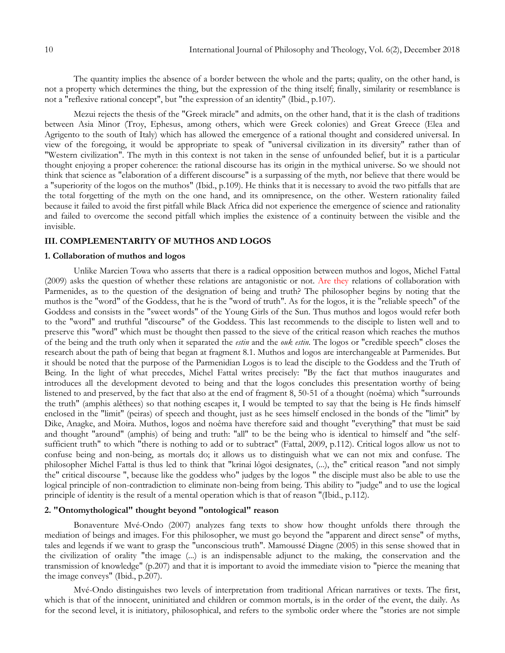The quantity implies the absence of a border between the whole and the parts; quality, on the other hand, is not a property which determines the thing, but the expression of the thing itself; finally, similarity or resemblance is not a "reflexive rational concept", but "the expression of an identity" (Ibid., p.107).

Mezui rejects the thesis of the "Greek miracle" and admits, on the other hand, that it is the clash of traditions between Asia Minor (Troy, Ephesus, among others, which were Greek colonies) and Great Greece (Elea and Agrigento to the south of Italy) which has allowed the emergence of a rational thought and considered universal. In view of the foregoing, it would be appropriate to speak of "universal civilization in its diversity" rather than of "Western civilization". The myth in this context is not taken in the sense of unfounded belief, but it is a particular thought enjoying a proper coherence: the rational discourse has its origin in the mythical universe. So we should not think that science as "elaboration of a different discourse" is a surpassing of the myth, nor believe that there would be a "superiority of the logos on the muthos" (Ibid., p.109). He thinks that it is necessary to avoid the two pitfalls that are the total forgetting of the myth on the one hand, and its omnipresence, on the other. Western rationality failed because it failed to avoid the first pitfall while Black Africa did not experience the emergence of science and rationality and failed to overcome the second pitfall which implies the existence of a continuity between the visible and the invisible.

# **III. COMPLEMENTARITY OF MUTHOS AND LOGOS**

#### **1. Collaboration of muthos and logos**

Unlike Marcien Towa who asserts that there is a radical opposition between muthos and logos, Michel Fattal (2009) asks the question of whether these relations are antagonistic or not. Are they relations of collaboration with Parmenides, as to the question of the designation of being and truth? The philosopher begins by noting that the muthos is the "word" of the Goddess, that he is the "word of truth". As for the logos, it is the "reliable speech" of the Goddess and consists in the "sweet words" of the Young Girls of the Sun. Thus muthos and logos would refer both to the "word" and truthful "discourse" of the Goddess. This last recommends to the disciple to listen well and to preserve this "word" which must be thought then passed to the sieve of the critical reason which reaches the muthos of the being and the truth only when it separated the *estin* and the *ouk estin*. The logos or "credible speech" closes the research about the path of being that began at fragment 8.1. Muthos and logos are interchangeable at Parmenides. But it should be noted that the purpose of the Parmenidian Logos is to lead the disciple to the Goddess and the Truth of Being. In the light of what precedes, Michel Fattal writes precisely: "By the fact that muthos inaugurates and introduces all the development devoted to being and that the logos concludes this presentation worthy of being listened to and preserved, by the fact that also at the end of fragment 8, 50-51 of a thought (noêma) which "surrounds the truth" (amphis alêthees) so that nothing escapes it, I would be tempted to say that the being is He finds himself enclosed in the "limit" (peiras) of speech and thought, just as he sees himself enclosed in the bonds of the "limit" by Dike, Anagke, and Moira. Muthos, logos and noêma have therefore said and thought "everything" that must be said and thought "around" (amphis) of being and truth: "all" to be the being who is identical to himself and "the selfsufficient truth" to which "there is nothing to add or to subtract" (Fattal, 2009, p.112). Critical logos allow us not to confuse being and non-being, as mortals do; it allows us to distinguish what we can not mix and confuse. The philosopher Michel Fattal is thus led to think that "krinai lôgoi designates, (...), the" critical reason "and not simply the" critical discourse ", because like the goddess who" judges by the logos " the disciple must also be able to use the logical principle of non-contradiction to eliminate non-being from being. This ability to "judge" and to use the logical principle of identity is the result of a mental operation which is that of reason "(Ibid., p.112).

#### **2. "Ontomythological" thought beyond "ontological" reason**

Bonaventure Mvé-Ondo (2007) analyzes fang texts to show how thought unfolds there through the mediation of beings and images. For this philosopher, we must go beyond the "apparent and direct sense" of myths, tales and legends if we want to grasp the "unconscious truth". Mamoussé Diagne (2005) in this sense showed that in the civilization of orality "the image (...) is an indispensable adjunct to the making, the conservation and the transmission of knowledge" (p.207) and that it is important to avoid the immediate vision to "pierce the meaning that the image conveys" (Ibid., p.207).

Mvé-Ondo distinguishes two levels of interpretation from traditional African narratives or texts. The first, which is that of the innocent, uninitiated and children or common mortals, is in the order of the event, the daily. As for the second level, it is initiatory, philosophical, and refers to the symbolic order where the "stories are not simple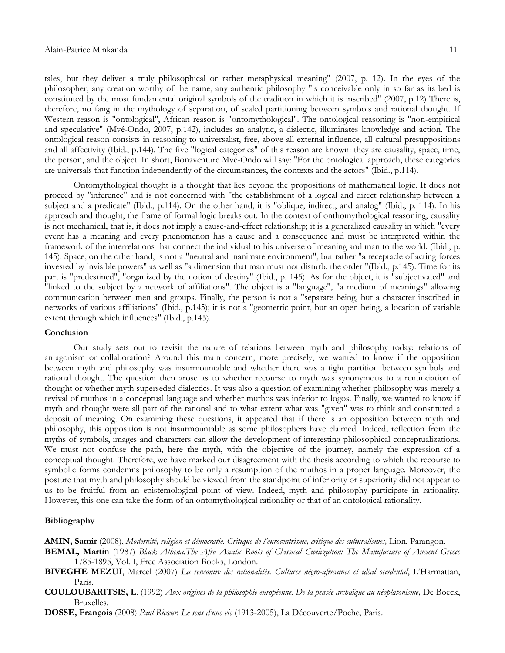tales, but they deliver a truly philosophical or rather metaphysical meaning" (2007, p. 12). In the eyes of the philosopher, any creation worthy of the name, any authentic philosophy "is conceivable only in so far as its bed is constituted by the most fundamental original symbols of the tradition in which it is inscribed" (2007, p.12) There is, therefore, no fang in the mythology of separation, of sealed partitioning between symbols and rational thought. If Western reason is "ontological", African reason is "ontomythological". The ontological reasoning is "non-empirical and speculative" (Mvé-Ondo, 2007, p.142), includes an analytic, a dialectic, illuminates knowledge and action. The ontological reason consists in reasoning to universalist, free, above all external influence, all cultural presuppositions and all affectivity (Ibid., p.144). The five "logical categories" of this reason are known: they are causality, space, time, the person, and the object. In short, Bonaventure Mvé-Ondo will say: "For the ontological approach, these categories are universals that function independently of the circumstances, the contexts and the actors" (Ibid., p.114).

Ontomythological thought is a thought that lies beyond the propositions of mathematical logic. It does not proceed by "inference" and is not concerned with "the establishment of a logical and direct relationship between a subject and a predicate" (Ibid., p.114). On the other hand, it is "oblique, indirect, and analog" (Ibid., p. 114). In his approach and thought, the frame of formal logic breaks out. In the context of onthomythological reasoning, causality is not mechanical, that is, it does not imply a cause-and-effect relationship; it is a generalized causality in which "every event has a meaning and every phenomenon has a cause and a consequence and must be interpreted within the framework of the interrelations that connect the individual to his universe of meaning and man to the world. (Ibid., p. 145). Space, on the other hand, is not a "neutral and inanimate environment", but rather "a receptacle of acting forces invested by invisible powers" as well as "a dimension that man must not disturb. the order "(Ibid., p.145). Time for its part is "predestined", "organized by the notion of destiny" (Ibid., p. 145). As for the object, it is "subjectivated" and "linked to the subject by a network of affiliations". The object is a "language", "a medium of meanings" allowing communication between men and groups. Finally, the person is not a "separate being, but a character inscribed in networks of various affiliations" (Ibid., p.145); it is not a "geometric point, but an open being, a location of variable extent through which influences" (Ibid., p.145).

#### **Conclusion**

Our study sets out to revisit the nature of relations between myth and philosophy today: relations of antagonism or collaboration? Around this main concern, more precisely, we wanted to know if the opposition between myth and philosophy was insurmountable and whether there was a tight partition between symbols and rational thought. The question then arose as to whether recourse to myth was synonymous to a renunciation of thought or whether myth superseded dialectics. It was also a question of examining whether philosophy was merely a revival of muthos in a conceptual language and whether muthos was inferior to logos. Finally, we wanted to know if myth and thought were all part of the rational and to what extent what was "given" was to think and constituted a deposit of meaning. On examining these questions, it appeared that if there is an opposition between myth and philosophy, this opposition is not insurmountable as some philosophers have claimed. Indeed, reflection from the myths of symbols, images and characters can allow the development of interesting philosophical conceptualizations. We must not confuse the path, here the myth, with the objective of the journey, namely the expression of a conceptual thought. Therefore, we have marked our disagreement with the thesis according to which the recourse to symbolic forms condemns philosophy to be only a resumption of the muthos in a proper language. Moreover, the posture that myth and philosophy should be viewed from the standpoint of inferiority or superiority did not appear to us to be fruitful from an epistemological point of view. Indeed, myth and philosophy participate in rationality. However, this one can take the form of an ontomythological rationality or that of an ontological rationality.

# **Bibliography**

**AMIN, Samir** (2008), *Modernité, religion et démocratie. Critique de l'eurocentrisme, critique des culturalismes,* Lion, Parangon.

**BEMAL, Martin** (1987) *Black Athena.The Afro Asiatic Roots of Classical Civilization: The Manufacture of Ancient Greece* 1785-1895, Vol. I, Free Association Books, London.

- **BIVEGHE MEZUI**, Marcel (2007) *La rencontre des rationalités. Cultures négro-africaines et idéal occidental*, L'Harmattan, Paris.
- **COULOUBARITSIS, L**. (1992) *Aux origines de la philosophie européenne. De la pensée archaïque au néoplatonisme,* De Boeck, Bruxelles.
- **DOSSE, François** (2008) *Paul Ricœur. Le sens d'une vie* (1913-2005), La Découverte/Poche, Paris.